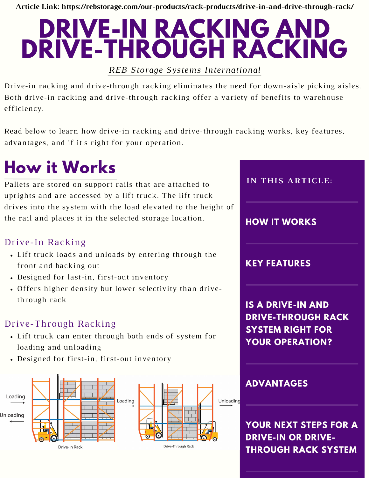**Article Link: https://rebstorage.com/our-products/rack-products/drive-in-and-drive-through-rack/**

# **DRIVE-IN RACKING AND DRIVE-THROUGH RACKING**

*REB Storage Systems International*

Drive-in racking and drive-through racking eliminates the need for down-aisle picking aisles. Both drive-in racking and drive-through racking offer a variety of benefits to warehouse efficiency.

Read below to learn how drive-in racking and drive-through racking works, key features, advantages, and if it's right for your operation.

## **How it Works**

Pallets are stored on support rails that are attached to uprights and are accessed by a lift truck. The lift truck drives into the system with the load elevated to the height of the rail and places it in the selected storage location.

#### Drive-In Racking

- Lift truck loads and unloads by entering through the front and backing out
- Designed for last-in, first-out inventory
- Offers higher density but lower selectivity than drivethrough rack

#### Drive-Through Racking

- Lift truck can enter through both ends of system for loading and unloading
- Designed for first-in, first-out inventory





**YOUR NEXT STEPS FOR A DRIVE-IN OR DRIVE-THROUGH RACK SYSTEM**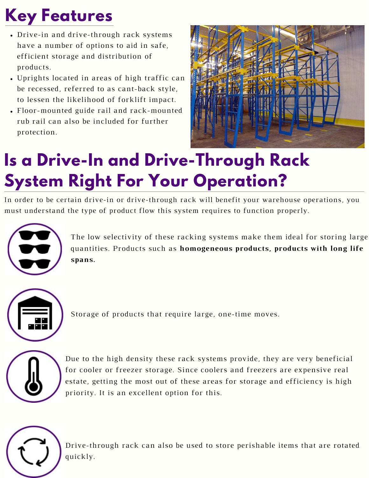## **Key Features**

- Drive-in and drive-through rack systems have a number of options to aid in safe, efficient storage and distribution of products.
- Uprights located in areas of high traffic can be recessed, referred to as cant-back style, to lessen the likelihood of forklift impact.
- Floor-mounted guide rail and rack-mounted rub rail can also be included for further protection.



#### **Is a Drive-In and Drive-Through Rack System Right For Your Operation?**

In order to be certain drive-in or drive-through rack will benefit your warehouse operations, you must understand the type of product flow this system requires to function properly.



The low selectivity of these racking systems make them ideal for storing large quantities. Products such as **homogeneous products, products with long life spans.**



Storage of products that require large, one-time moves.



Due to the high density these rack systems provide, they are very beneficial for cooler or freezer storage. Since coolers and freezers are expensive real estate, getting the most out of these areas for storage and efficiency is high priority. It is an excellent option for this.



Drive-through rack can also be used to store perishable items that are rotated quickly.